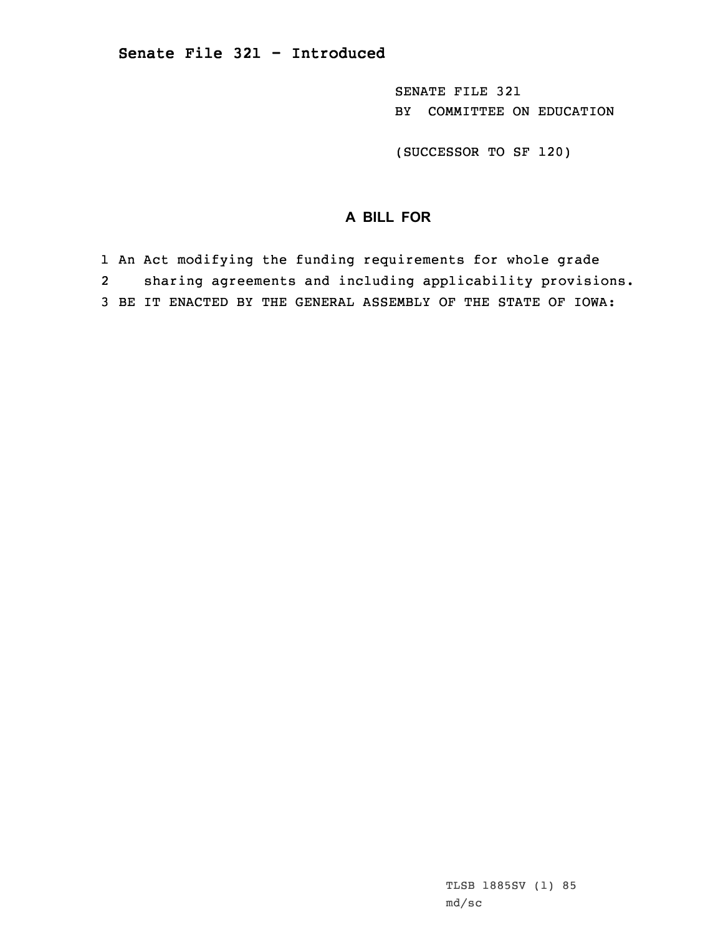SENATE FILE 321 BY COMMITTEE ON EDUCATION

(SUCCESSOR TO SF 120)

## **A BILL FOR**

1 An Act modifying the funding requirements for whole grade 2 sharing agreements and including applicability provisions. 3 BE IT ENACTED BY THE GENERAL ASSEMBLY OF THE STATE OF IOWA: